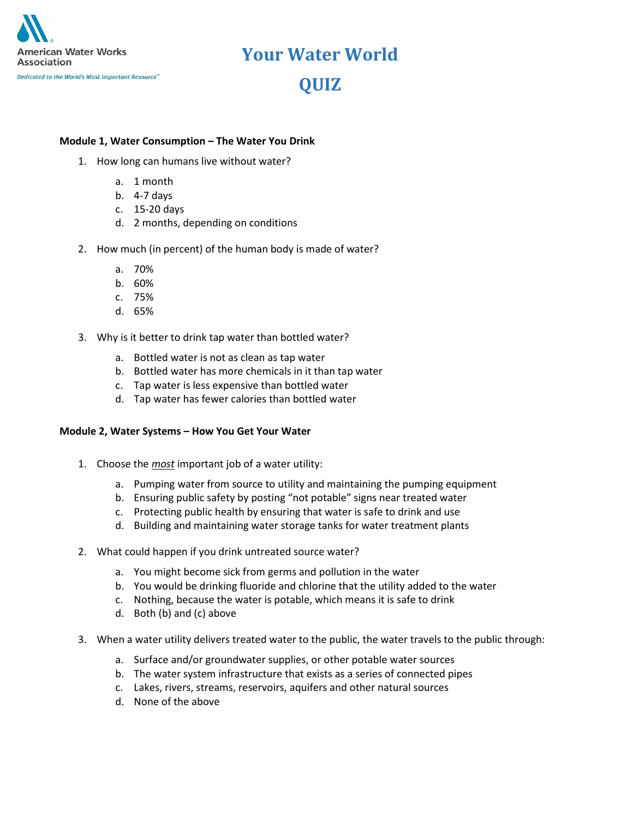

### **Your Water World QUIZ**

### **Module 1, Water Consumption – The Water You Drink**

- 1. How long can humans live without water?
	- a. 1 month
	- b. 4-7 days
	- c. 15-20 days
	- d. 2 months, depending on conditions
- 2. How much (in percent) of the human body is made of water?
	- a. 70%
	- b. 60%
	- c. 75%
	- d. 65%
- 3. Why is it better to drink tap water than bottled water?
	- a. Bottled water is not as clean as tap water
	- b. Bottled water has more chemicals in it than tap water
	- c. Tap water is less expensive than bottled water
	- d. Tap water has fewer calories than bottled water

### **Module 2, Water Systems – How You Get Your Water**

- 1. Choose the *most* important job of a water utility:
	- a. Pumping water from source to utility and maintaining the pumping equipment
	- b. Ensuring public safety by posting "not potable" signs near treated water
	- c. Protecting public health by ensuring that water is safe to drink and use
	- d. Building and maintaining water storage tanks for water treatment plants
- 2. What could happen if you drink untreated source water?
	- a. You might become sick from germs and pollution in the water
	- b. You would be drinking fluoride and chlorine that the utility added to the water
	- c. Nothing, because the water is potable, which means it is safe to drink
	- d. Both (b) and (c) above
- 3. When a water utility delivers treated water to the public, the water travels to the public through:
	- a. Surface and/or groundwater supplies, or other potable water sources
	- b. The water system infrastructure that exists as a series of connected pipes
	- c. Lakes, rivers, streams, reservoirs, aquifers and other natural sources
	- d. None of the above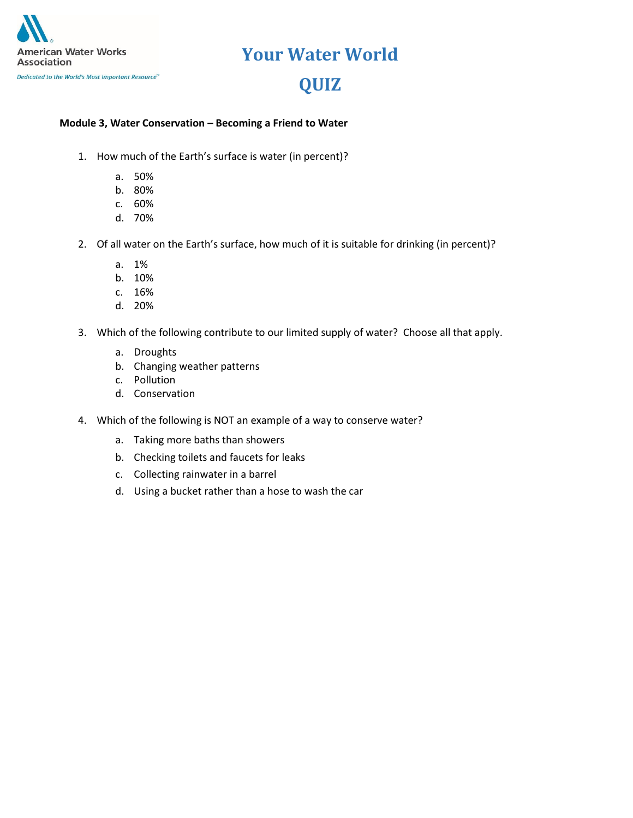

### **Your Water World**

### **QUIZ**

#### **Module 3, Water Conservation – Becoming a Friend to Water**

- 1. How much of the Earth's surface is water (in percent)?
	- a. 50%
	- b. 80%
	- c. 60%
	- d. 70%
- 2. Of all water on the Earth's surface, how much of it is suitable for drinking (in percent)?
	- a. 1%
	- b. 10%
	- c. 16%
	- d. 20%
- 3. Which of the following contribute to our limited supply of water? Choose all that apply.
	- a. Droughts
	- b. Changing weather patterns
	- c. Pollution
	- d. Conservation
- 4. Which of the following is NOT an example of a way to conserve water?
	- a. Taking more baths than showers
	- b. Checking toilets and faucets for leaks
	- c. Collecting rainwater in a barrel
	- d. Using a bucket rather than a hose to wash the car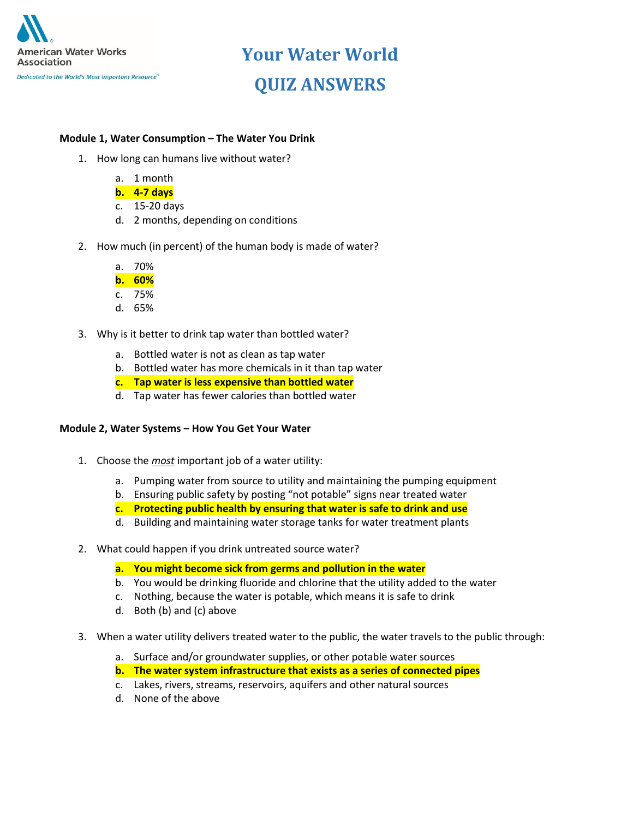

## **Your Water World QUIZ ANSWERS**

#### **Module 1, Water Consumption – The Water You Drink**

- 1. How long can humans live without water?
	- a. 1 month
	- **b. 4-7 days**
	- c. 15-20 days
	- d. 2 months, depending on conditions
- 2. How much (in percent) of the human body is made of water?
	- a. 70%
	- **b. 60%**
	- c. 75%
	- d. 65%
- 3. Why is it better to drink tap water than bottled water?
	- a. Bottled water is not as clean as tap water
	- b. Bottled water has more chemicals in it than tap water
	- **c. Tap water is less expensive than bottled water**
	- d. Tap water has fewer calories than bottled water

#### **Module 2, Water Systems – How You Get Your Water**

- 1. Choose the *most* important job of a water utility:
	- a. Pumping water from source to utility and maintaining the pumping equipment
	- b. Ensuring public safety by posting "not potable" signs near treated water
	- **c. Protecting public health by ensuring that water is safe to drink and use**
	- d. Building and maintaining water storage tanks for water treatment plants
- 2. What could happen if you drink untreated source water?
	- **a. You might become sick from germs and pollution in the water**
	- b. You would be drinking fluoride and chlorine that the utility added to the water
	- c. Nothing, because the water is potable, which means it is safe to drink
	- d. Both (b) and (c) above
- 3. When a water utility delivers treated water to the public, the water travels to the public through:
	- a. Surface and/or groundwater supplies, or other potable water sources
	- **b. The water system infrastructure that exists as a series of connected pipes**
	- c. Lakes, rivers, streams, reservoirs, aquifers and other natural sources
	- d. None of the above